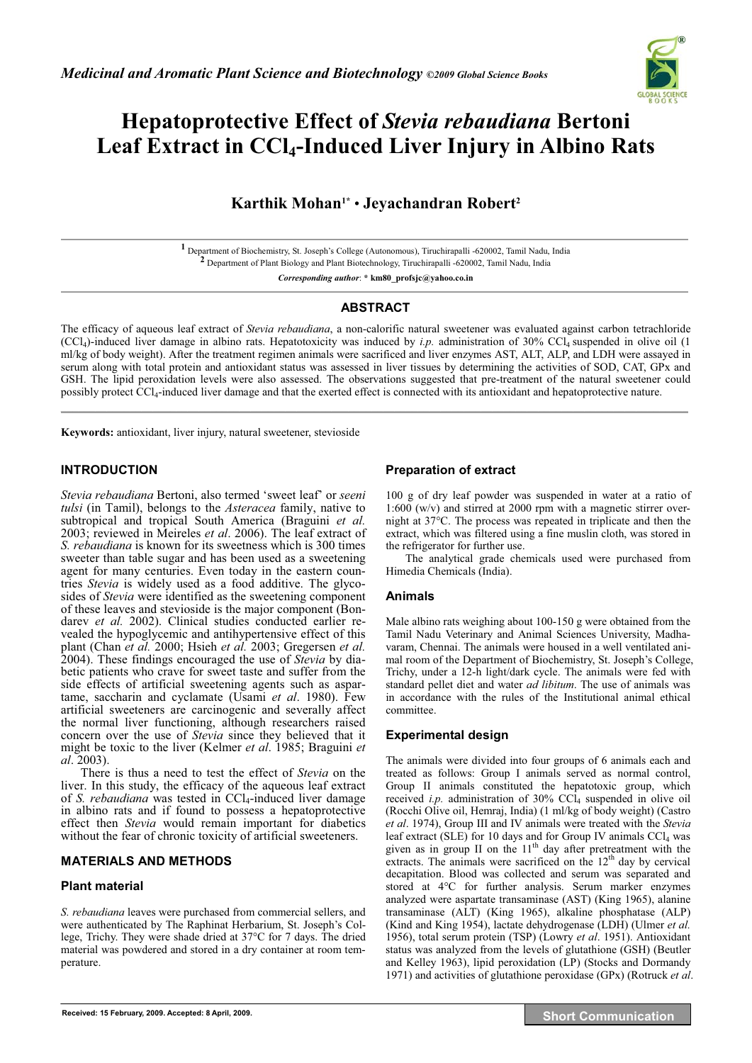

# **Hepatoprotective Effect of** *Stevia rebaudiana* **Bertoni**  Leaf Extract in CCl<sub>4</sub>-Induced Liver Injury in Albino Rats

## **Karthik Mohan1\*** • **Jeyachandran Robert2**

**1** Department of Biochemistry, St. Joseph's College (Autonomous), Tiruchirapalli -620002, Tamil Nadu, India **2** Department of Plant Biology and Plant Biotechnology, Tiruchirapalli -620002, Tamil Nadu, India

*Corresponding author*: **\* km80\_profsjc@yahoo.co.in** 

#### **ABSTRACT**

The efficacy of aqueous leaf extract of *Stevia rebaudiana*, a non-calorific natural sweetener was evaluated against carbon tetrachloride (CCl4)-induced liver damage in albino rats. Hepatotoxicity was induced by *i.p.* administration of 30% CCl4 suspended in olive oil (1 ml/kg of body weight). After the treatment regimen animals were sacrificed and liver enzymes AST, ALT, ALP, and LDH were assayed in serum along with total protein and antioxidant status was assessed in liver tissues by determining the activities of SOD, CAT, GPx and GSH. The lipid peroxidation levels were also assessed. The observations suggested that pre-treatment of the natural sweetener could possibly protect CCl<sub>4</sub>-induced liver damage and that the exerted effect is connected with its antioxidant and hepatoprotective nature. **\_\_\_\_\_\_\_\_\_\_\_\_\_\_\_\_\_\_\_\_\_\_\_\_\_\_\_\_\_\_\_\_\_\_\_\_\_\_\_\_\_\_\_\_\_\_\_\_\_\_\_\_\_\_\_\_\_\_\_\_\_\_\_\_\_\_\_\_\_\_\_\_\_\_\_\_\_\_\_\_\_\_\_\_\_\_\_\_\_\_\_\_\_\_\_\_\_\_\_\_\_\_\_\_\_\_\_\_\_**

**Keywords:** antioxidant, liver injury, natural sweetener, stevioside

## **INTRODUCTION**

*Stevia rebaudiana* Bertoni, also termed 'sweet leaf' or *seeni tulsi* (in Tamil), belongs to the *Asteracea* family, native to subtropical and tropical South America (Braguini *et al.* 2003; reviewed in Meireles *et al*. 2006). The leaf extract of *S. rebaudiana* is known for its sweetness which is 300 times sweeter than table sugar and has been used as a sweetening agent for many centuries. Even today in the eastern countries *Stevia* is widely used as a food additive. The glycosides of *Stevia* were identified as the sweetening component of these leaves and stevioside is the major component (Bondarev *et al.* 2002). Clinical studies conducted earlier revealed the hypoglycemic and antihypertensive effect of this plant (Chan *et al.* 2000; Hsieh *et al.* 2003; Gregersen *et al.* 2004). These findings encouraged the use of *Stevia* by diabetic patients who crave for sweet taste and suffer from the side effects of artificial sweetening agents such as aspartame, saccharin and cyclamate (Usami *et al*. 1980). Few artificial sweeteners are carcinogenic and severally affect the normal liver functioning, although researchers raised concern over the use of *Stevia* since they believed that it might be toxic to the liver (Kelmer *et al*. 1985; Braguini *et al*. 2003).

There is thus a need to test the effect of *Stevia* on the liver. In this study, the efficacy of the aqueous leaf extract of *S. rebaudiana* was tested in CCl<sub>4</sub>-induced liver damage in albino rats and if found to possess a hepatoprotective effect then *Stevia* would remain important for diabetics without the fear of chronic toxicity of artificial sweeteners.

## **MATERIALS AND METHODS**

## **Plant material**

*S. rebaudiana* leaves were purchased from commercial sellers, and were authenticated by The Raphinat Herbarium, St. Joseph's College, Trichy. They were shade dried at 37°C for 7 days. The dried material was powdered and stored in a dry container at room temperature.

## **Preparation of extract**

100 g of dry leaf powder was suspended in water at a ratio of 1:600 (w/v) and stirred at 2000 rpm with a magnetic stirrer overnight at 37°C. The process was repeated in triplicate and then the extract, which was filtered using a fine muslin cloth, was stored in the refrigerator for further use.

The analytical grade chemicals used were purchased from Himedia Chemicals (India).

#### **Animals**

Male albino rats weighing about 100-150 g were obtained from the Tamil Nadu Veterinary and Animal Sciences University, Madhavaram, Chennai. The animals were housed in a well ventilated animal room of the Department of Biochemistry, St. Joseph's College, Trichy, under a 12-h light/dark cycle. The animals were fed with standard pellet diet and water *ad libitum*. The use of animals was in accordance with the rules of the Institutional animal ethical committee.

## **Experimental design**

The animals were divided into four groups of 6 animals each and treated as follows: Group I animals served as normal control, Group II animals constituted the hepatotoxic group, which received *i.p.* administration of 30% CCl<sub>4</sub> suspended in olive oil (Rocchi Olive oil, Hemraj, India) (1 ml/kg of body weight) (Castro *et al*. 1974), Group III and IV animals were treated with the *Stevia* leaf extract (SLE) for 10 days and for Group IV animals  $CCl<sub>4</sub>$  was given as in group II on the  $11<sup>th</sup>$  day after pretreatment with the extracts. The animals were sacrificed on the  $12<sup>th</sup>$  day by cervical decapitation. Blood was collected and serum was separated and stored at 4°C for further analysis. Serum marker enzymes analyzed were aspartate transaminase (AST) (King 1965), alanine transaminase (ALT) (King 1965), alkaline phosphatase (ALP) (Kind and King 1954), lactate dehydrogenase (LDH) (Ulmer *et al.* 1956), total serum protein (TSP) (Lowry *et al*. 1951). Antioxidant status was analyzed from the levels of glutathione (GSH) (Beutler and Kelley 1963), lipid peroxidation (LP) (Stocks and Dormandy 1971) and activities of glutathione peroxidase (GPx) (Rotruck *et al*.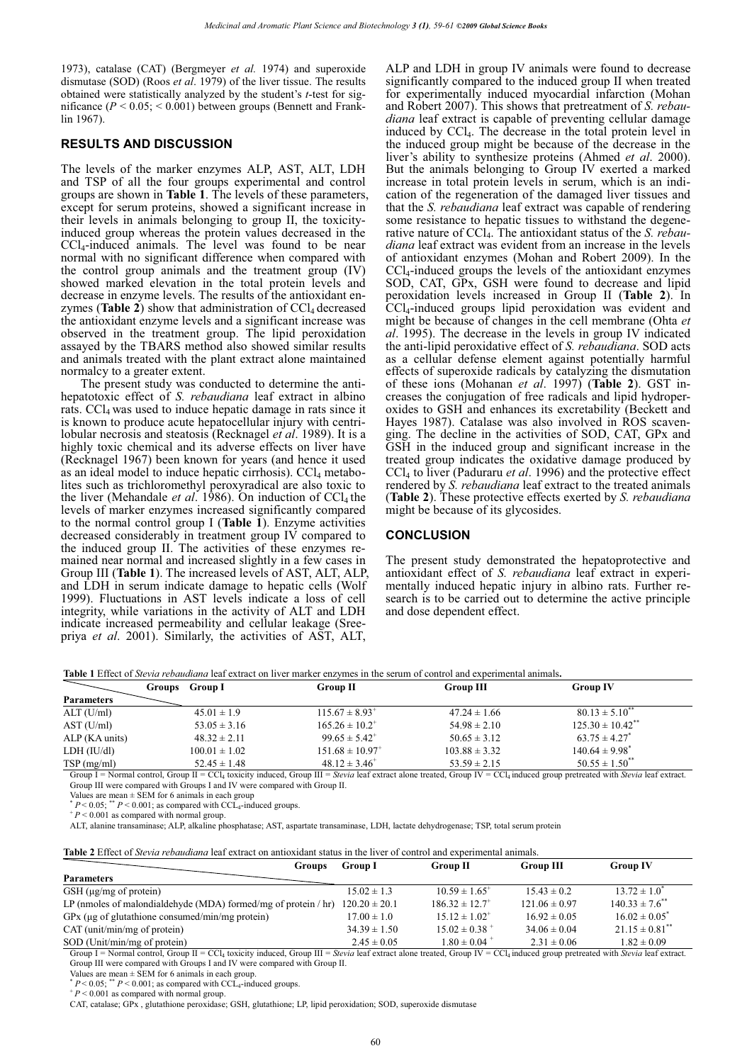1973), catalase (CAT) (Bergmeyer *et al.* 1974) and superoxide dismutase (SOD) (Roos *et al*. 1979) of the liver tissue. The results obtained were statistically analyzed by the student's *t*-test for significance  $(P < 0.05$ ;  $< 0.001$ ) between groups (Bennett and Franklin 1967).

#### **RESULTS AND DISCUSSION**

The levels of the marker enzymes ALP, AST, ALT, LDH and TSP of all the four groups experimental and control groups are shown in **Table 1**. The levels of these parameters, except for serum proteins, showed a significant increase in their levels in animals belonging to group II, the toxicityinduced group whereas the protein values decreased in the CCl4-induced animals. The level was found to be near normal with no significant difference when compared with the control group animals and the treatment group (IV) showed marked elevation in the total protein levels and decrease in enzyme levels. The results of the antioxidant enzymes (**Table 2**) show that administration of  $CCL_4$  decreased the antioxidant enzyme levels and a significant increase was observed in the treatment group. The lipid peroxidation assayed by the TBARS method also showed similar results and animals treated with the plant extract alone maintained normalcy to a greater extent.

The present study was conducted to determine the antihepatotoxic effect of *S. rebaudiana* leaf extract in albino rats.  $\text{CCl}_4$  was used to induce hepatic damage in rats since it is known to produce acute hepatocellular injury with centrilobular necrosis and steatosis (Recknagel *et al*. 1989). It is a highly toxic chemical and its adverse effects on liver have (Recknagel 1967) been known for years (and hence it used as an ideal model to induce hepatic cirrhosis).  $\text{CCl}_4$  metabolites such as trichloromethyl peroxyradical are also toxic to the liver (Mehandale *et al.* 1986). On induction of CCl<sub>4</sub> the levels of marker enzymes increased significantly compared to the normal control group I (**Table 1**). Enzyme activities decreased considerably in treatment group IV compared to the induced group II. The activities of these enzymes remained near normal and increased slightly in a few cases in Group III (**Table 1**). The increased levels of AST, ALT, ALP, and LDH in serum indicate damage to hepatic cells (Wolf 1999). Fluctuations in AST levels indicate a loss of cell integrity, while variations in the activity of ALT and LDH indicate increased permeability and cellular leakage (Sreepriya *et al*. 2001). Similarly, the activities of AST, ALT,

ALP and LDH in group IV animals were found to decrease significantly compared to the induced group II when treated for experimentally induced myocardial infarction (Mohan and Robert 2007). This shows that pretreatment of *S. rebaudiana* leaf extract is capable of preventing cellular damage induced by CCl4. The decrease in the total protein level in the induced group might be because of the decrease in the liver's ability to synthesize proteins (Ahmed *et al*. 2000). But the animals belonging to Group IV exerted a marked increase in total protein levels in serum, which is an indication of the regeneration of the damaged liver tissues and that the *S. rebaudiana* leaf extract was capable of rendering some resistance to hepatic tissues to withstand the degenerative nature of CCl4. The antioxidant status of the *S. rebaudiana* leaf extract was evident from an increase in the levels of antioxidant enzymes (Mohan and Robert 2009). In the CCl4-induced groups the levels of the antioxidant enzymes SOD, CAT, GPx, GSH were found to decrease and lipid peroxidation levels increased in Group II (**Table 2**). In CCl4-induced groups lipid peroxidation was evident and might be because of changes in the cell membrane (Ohta *et al*. 1995). The decrease in the levels in group IV indicated the anti-lipid peroxidative effect of *S. rebaudiana*. SOD acts as a cellular defense element against potentially harmful effects of superoxide radicals by catalyzing the dismutation of these ions (Mohanan *et al*. 1997) (**Table 2**). GST increases the conjugation of free radicals and lipid hydroperoxides to GSH and enhances its excretability (Beckett and Hayes 1987). Catalase was also involved in ROS scavenging. The decline in the activities of SOD, CAT, GPx and GSH in the induced group and significant increase in the treated group indicates the oxidative damage produced by CCl4 to liver (Paduraru *et al*. 1996) and the protective effect rendered by *S. rebaudiana* leaf extract to the treated animals (**Table 2**). These protective effects exerted by *S. rebaudiana* might be because of its glycosides.

#### **CONCLUSION**

The present study demonstrated the hepatoprotective and antioxidant effect of *S. rebaudiana* leaf extract in experimentally induced hepatic injury in albino rats. Further research is to be carried out to determine the active principle and dose dependent effect.

**Table 1** Effect of *Stevia rebaudiana* leaf extract on liver marker enzymes in the serum of control and experimental animals**.** 

|                   | <b>Group I</b><br>Groups | <b>Group II</b>                 | <b>Group III</b>  | <b>Group IV</b>                  |
|-------------------|--------------------------|---------------------------------|-------------------|----------------------------------|
| <b>Parameters</b> |                          |                                 |                   |                                  |
| ALT (U/ml)        | $45.01 \pm 1.9$          | $115.67 \pm 8.93$ <sup>+</sup>  | $47.24 \pm 1.66$  | $80.13 \pm 5.10^{**}$            |
| AST (U/ml)        | $53.05 \pm 3.16$         | $165.26 \pm 10.2^+$             | $54.98 \pm 2.10$  | $125.30 \pm 10.42$ <sup>**</sup> |
| ALP (KA units)    | $48.32 \pm 2.11$         | $99.65 \pm 5.42$ <sup>+</sup>   | $50.65 \pm 3.12$  | $63.75 \pm 4.27$ <sup>*</sup>    |
| LDH (IU/dl)       | $100.01 \pm 1.02$        | $151.68 \pm 10.97$ <sup>+</sup> | $103.88 \pm 3.32$ | $140.64 \pm 9.98$ <sup>*</sup>   |
| TSP(mg/ml)        | $52.45 \pm 1.48$         | $48.12 \pm 3.46^+$              | $53.59 \pm 2.15$  | $50.55 \pm 1.50^{**}$            |

Group I = Normal control, Group II = CCl<sub>4</sub> toxicity induced, Group III = *Stevia* leaf extract alone treated, Group IV = CCl<sub>4</sub> induced group pretreated with *Stevia* leaf extract. Group III were compared with Groups I and IV were compared with Group II.

Values are mean  $\pm$  SEM for 6 animals in each group<br>  $* P < 0.05;$   $* P < 0.001$ ; as compared with CCL<sub>4</sub>-induced groups.<br>  $* P < 0.001$  as compared with normal group.

ALT, alanine transaminase; ALP, alkaline phosphatase; AST, aspartate transaminase, LDH, lactate dehydrogenase; TSP, total serum protein

**Table 2** Effect of *Stevia rebaudiana* leaf extract on antioxidant status in the liver of control and experimental animals.

| Groups                                                            | <b>Group I</b>    | <b>Group II</b>                | <b>Group III</b>  | <b>Group IV</b>                |
|-------------------------------------------------------------------|-------------------|--------------------------------|-------------------|--------------------------------|
| <b>Parameters</b>                                                 |                   |                                |                   |                                |
| $GSH$ ( $\mu$ g/mg of protein)                                    | $15.02 \pm 1.3$   | $10.59 \pm 1.65$ <sup>+</sup>  | $15.43 \pm 0.2$   | $13.72 \pm 1.0^*$              |
| LP (nmoles of malondial dehyde (MDA) formed/mg of protein $/$ hr) | $120.20 \pm 20.1$ | $186.32 \pm 12.7$ <sup>+</sup> | $121.06 \pm 0.97$ | $140.33 \pm 7.6$ <sup>**</sup> |
| GPx (µg of glutathione consumed/min/mg protein)                   | $17.00 \pm 1.0$   | $15.12 \pm 1.02$ <sup>+</sup>  | $16.92 \pm 0.05$  | $16.02 \pm 0.05^*$             |
| $CAT$ (unit/min/mg of protein)                                    | $34.39 \pm 1.50$  | $15.02 \pm 0.38$ <sup>+</sup>  | $34.06 \pm 0.04$  | $21.15 \pm 0.81$ <sup>**</sup> |
| SOD (Unit/min/mg of protein)                                      | $2.45 \pm 0.05$   | $1.80 \pm 0.04$ <sup>+</sup>   | $2.31 \pm 0.06$   | $1.82 \pm 0.09$                |

Group I = Normal control, Group II = CCl<sub>4</sub> toxicity induced, Group III = *Stevia* leaf extract alone treated, Group IV = CCl<sub>4</sub> induced group pretreated with *Stevia* leaf extract. Group III were compared with Groups I and IV were compared with Group II.

Values are mean  $\pm$  SEM for 6 animals in each group.<br> *\* P* < 0.05; \*\* *P* < 0.001; as compared with CCL<sub>4</sub>-induced groups.<br> *\* P* < 0.001 as compared with normal group.

 $P < 0.001$  as compared with normal group.<br>CAT, catalase; GPx, glutathione peroxidase; GSH, glutathione; LP, lipid peroxidation; SOD, superoxide dismutase